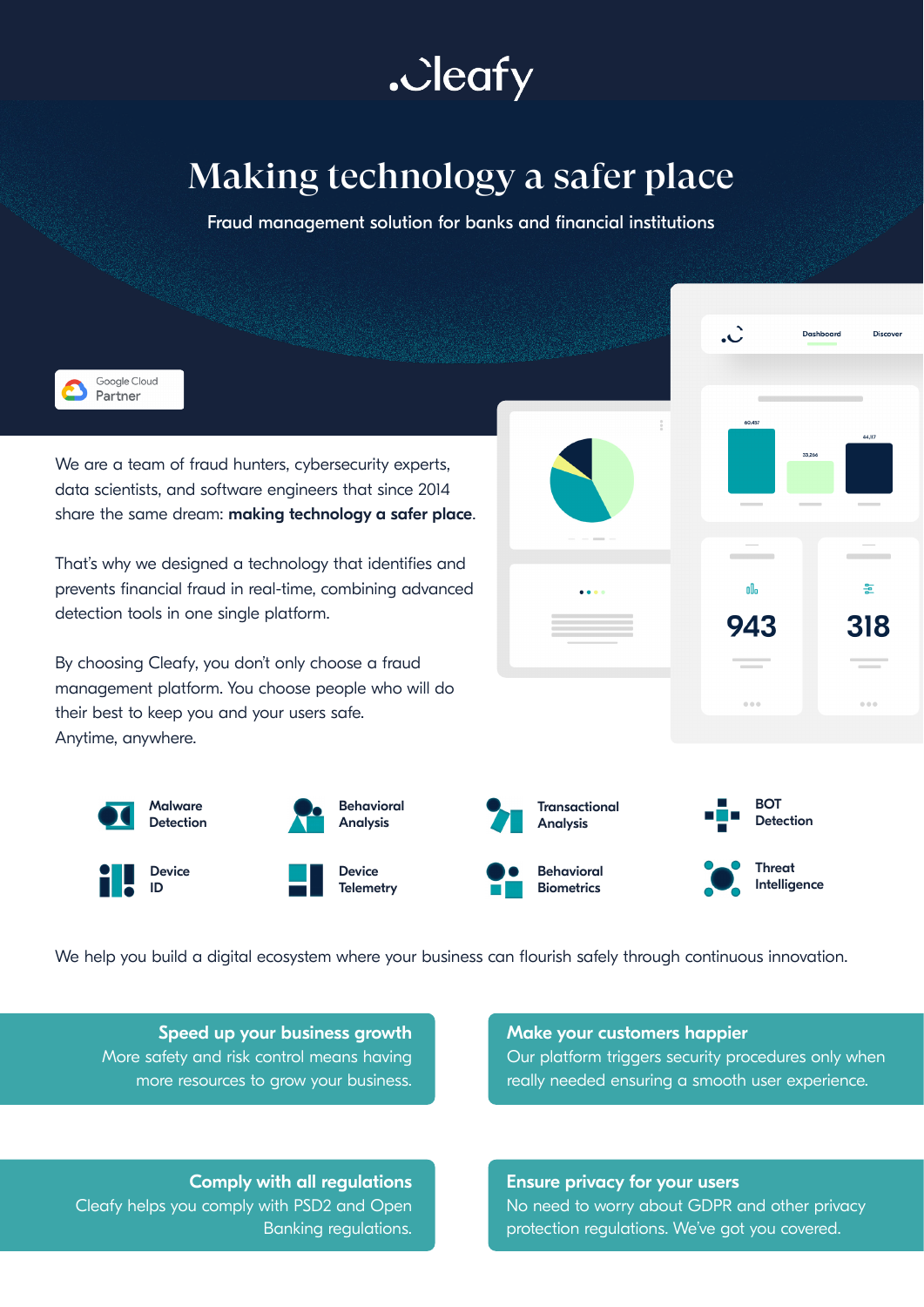.Jeafy

## Making technology a safer place

Fraud management solution for banks and financial institutions



We help you build a digital ecosystem where your business can flourish safely through continuous innovation.

Speed up your business growth More safety and risk control means having more resources to grow your business.

## Make your customers happier

Our platform triggers security procedures only when really needed ensuring a smooth user experience.

Comply with all regulations Cleafy helps you comply with PSD2 and Open Banking regulations.

Ensure privacy for your users No need to worry about GDPR and other privacy protection regulations. We've got you covered.